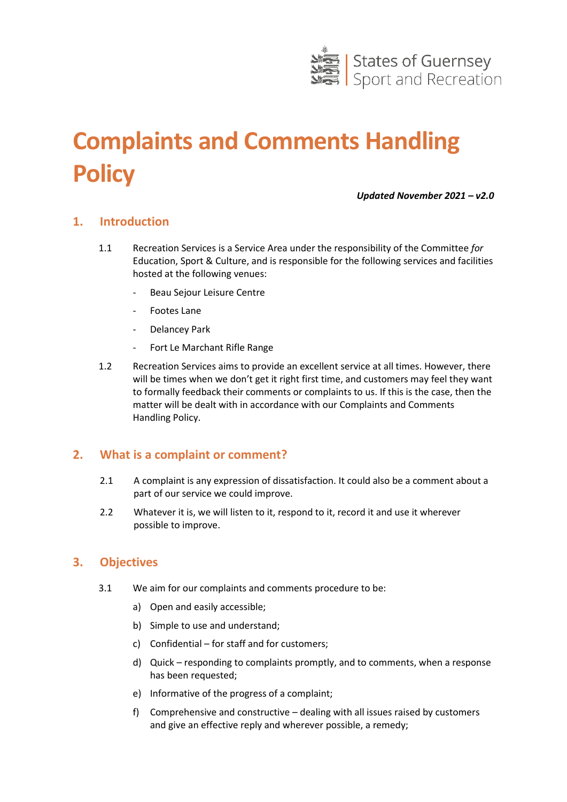

# **Complaints and Comments Handling Policy**

*Updated November 2021 – v2.0*

## **1. Introduction**

- 1.1 Recreation Services is a Service Area under the responsibility of the Committee *for* Education, Sport & Culture, and is responsible for the following services and facilities hosted at the following venues:
	- Beau Sejour Leisure Centre
	- Footes Lane
	- Delancey Park
	- Fort Le Marchant Rifle Range
- 1.2 Recreation Services aims to provide an excellent service at all times. However, there will be times when we don't get it right first time, and customers may feel they want to formally feedback their comments or complaints to us. If this is the case, then the matter will be dealt with in accordance with our Complaints and Comments Handling Policy.

#### **2. What is a complaint or comment?**

- 2.1 A complaint is any expression of dissatisfaction. It could also be a comment about a part of our service we could improve.
- 2.2 Whatever it is, we will listen to it, respond to it, record it and use it wherever possible to improve.

#### **3. Objectives**

- 3.1 We aim for our complaints and comments procedure to be:
	- a) Open and easily accessible;
	- b) Simple to use and understand;
	- c) Confidential for staff and for customers;
	- d) Quick responding to complaints promptly, and to comments, when a response has been requested;
	- e) Informative of the progress of a complaint;
	- f) Comprehensive and constructive dealing with all issues raised by customers and give an effective reply and wherever possible, a remedy;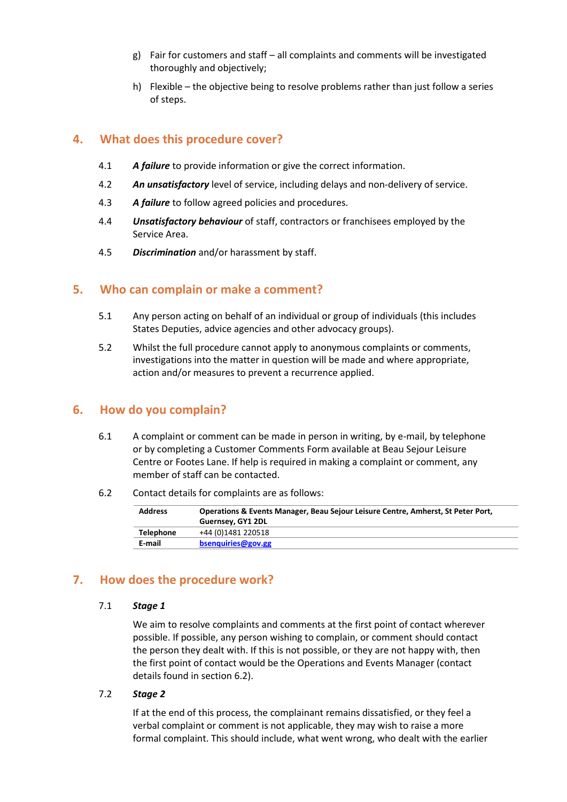- g) Fair for customers and staff all complaints and comments will be investigated thoroughly and objectively;
- h) Flexible the objective being to resolve problems rather than just follow a series of steps.

# **4. What does this procedure cover?**

- 4.1 *A failure* to provide information or give the correct information.
- 4.2 *An unsatisfactory* level of service, including delays and non-delivery of service.
- 4.3 *A failure* to follow agreed policies and procedures.
- 4.4 *Unsatisfactory behaviour* of staff, contractors or franchisees employed by the Service Area.
- 4.5 *Discrimination* and/or harassment by staff.

## **5. Who can complain or make a comment?**

- 5.1 Any person acting on behalf of an individual or group of individuals (this includes States Deputies, advice agencies and other advocacy groups).
- 5.2 Whilst the full procedure cannot apply to anonymous complaints or comments, investigations into the matter in question will be made and where appropriate, action and/or measures to prevent a recurrence applied.

## **6. How do you complain?**

- 6.1 A complaint or comment can be made in person in writing, by e-mail, by telephone or by completing a Customer Comments Form available at Beau Sejour Leisure Centre or Footes Lane. If help is required in making a complaint or comment, any member of staff can be contacted.
- 6.2 Contact details for complaints are as follows:

| <b>Address</b> | Operations & Events Manager, Beau Sejour Leisure Centre, Amherst, St Peter Port,<br>Guernsey, GY1 2DL |
|----------------|-------------------------------------------------------------------------------------------------------|
| Telephone      | +44 (0)1481 220518                                                                                    |
| E-mail         | bsenguiries@gov.gg                                                                                    |

## **7. How does the procedure work?**

#### 7.1 *Stage 1*

We aim to resolve complaints and comments at the first point of contact wherever possible. If possible, any person wishing to complain, or comment should contact the person they dealt with. If this is not possible, or they are not happy with, then the first point of contact would be the Operations and Events Manager (contact details found in section 6.2).

#### 7.2 *Stage 2*

If at the end of this process, the complainant remains dissatisfied, or they feel a verbal complaint or comment is not applicable, they may wish to raise a more formal complaint. This should include, what went wrong, who dealt with the earlier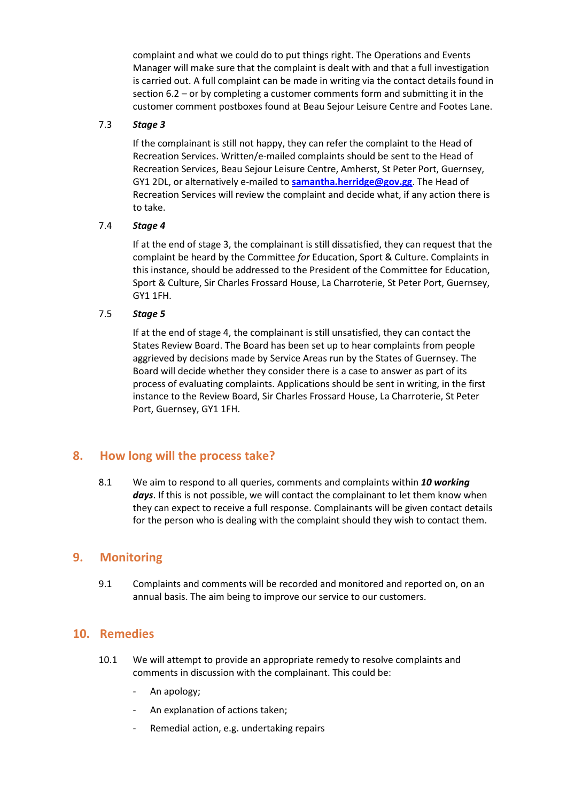complaint and what we could do to put things right. The Operations and Events Manager will make sure that the complaint is dealt with and that a full investigation is carried out. A full complaint can be made in writing via the contact details found in section 6.2 – or by completing a customer comments form and submitting it in the customer comment postboxes found at Beau Sejour Leisure Centre and Footes Lane.

#### 7.3 *Stage 3*

If the complainant is still not happy, they can refer the complaint to the Head of Recreation Services. Written/e-mailed complaints should be sent to the Head of Recreation Services, Beau Sejour Leisure Centre, Amherst, St Peter Port, Guernsey, GY1 2DL, or alternatively e-mailed to **[samantha.herridge@gov.gg](mailto:samantha.herridge@gov.gg)**. The Head of Recreation Services will review the complaint and decide what, if any action there is to take.

#### 7.4 *Stage 4*

If at the end of stage 3, the complainant is still dissatisfied, they can request that the complaint be heard by the Committee *for* Education, Sport & Culture. Complaints in this instance, should be addressed to the President of the Committee for Education, Sport & Culture, Sir Charles Frossard House, La Charroterie, St Peter Port, Guernsey, GY1 1FH.

#### 7.5 *Stage 5*

If at the end of stage 4, the complainant is still unsatisfied, they can contact the States Review Board. The Board has been set up to hear complaints from people aggrieved by decisions made by Service Areas run by the States of Guernsey. The Board will decide whether they consider there is a case to answer as part of its process of evaluating complaints. Applications should be sent in writing, in the first instance to the Review Board, Sir Charles Frossard House, La Charroterie, St Peter Port, Guernsey, GY1 1FH.

## **8. How long will the process take?**

8.1 We aim to respond to all queries, comments and complaints within *10 working*  days. If this is not possible, we will contact the complainant to let them know when they can expect to receive a full response. Complainants will be given contact details for the person who is dealing with the complaint should they wish to contact them.

## **9. Monitoring**

9.1 Complaints and comments will be recorded and monitored and reported on, on an annual basis. The aim being to improve our service to our customers.

## **10. Remedies**

- 10.1 We will attempt to provide an appropriate remedy to resolve complaints and comments in discussion with the complainant. This could be:
	- An apology;
	- An explanation of actions taken;
	- Remedial action, e.g. undertaking repairs